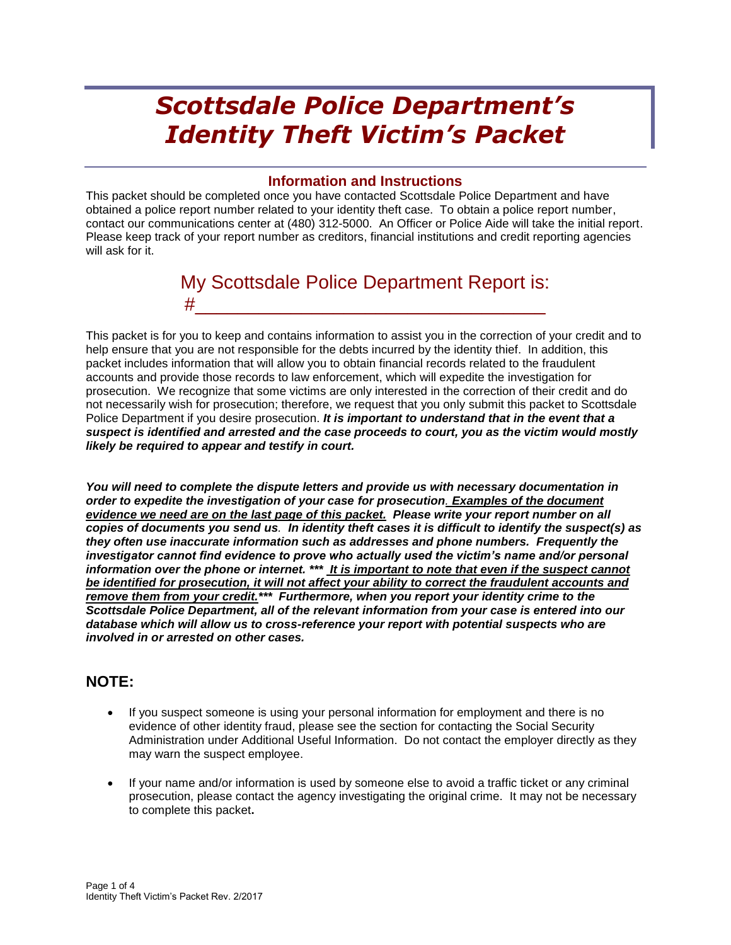# *Scottsdale Police Department's Identity Theft Victim's Packet*

#### **Information and Instructions**

This packet should be completed once you have contacted Scottsdale Police Department and have obtained a police report number related to your identity theft case. To obtain a police report number, contact our communications center at (480) 312-5000. An Officer or Police Aide will take the initial report. Please keep track of your report number as creditors, financial institutions and credit reporting agencies will ask for it.

## My Scottsdale Police Department Report is: #\_\_\_\_\_\_\_\_\_\_\_\_\_\_\_\_\_\_\_\_\_\_\_\_\_\_\_\_\_\_\_\_\_

This packet is for you to keep and contains information to assist you in the correction of your credit and to help ensure that you are not responsible for the debts incurred by the identity thief. In addition, this packet includes information that will allow you to obtain financial records related to the fraudulent accounts and provide those records to law enforcement, which will expedite the investigation for prosecution. We recognize that some victims are only interested in the correction of their credit and do not necessarily wish for prosecution; therefore, we request that you only submit this packet to Scottsdale Police Department if you desire prosecution. *It is important to understand that in the event that a suspect is identified and arrested and the case proceeds to court, you as the victim would mostly likely be required to appear and testify in court.* 

*You will need to complete the dispute letters and provide us with necessary documentation in order to expedite the investigation of your case for prosecution. Examples of the document evidence we need are on the last page of this packet. Please write your report number on all copies of documents you send us. In identity theft cases it is difficult to identify the suspect(s) as they often use inaccurate information such as addresses and phone numbers. Frequently the investigator cannot find evidence to prove who actually used the victim's name and/or personal information over the phone or internet. \*\*\* It is important to note that even if the suspect cannot be identified for prosecution, it will not affect your ability to correct the fraudulent accounts and remove them from your credit.\*\*\* Furthermore, when you report your identity crime to the Scottsdale Police Department, all of the relevant information from your case is entered into our database which will allow us to cross-reference your report with potential suspects who are involved in or arrested on other cases.* 

### **NOTE:**

- If you suspect someone is using your personal information for employment and there is no evidence of other identity fraud, please see the section for contacting the Social Security Administration under Additional Useful Information. Do not contact the employer directly as they may warn the suspect employee.
- If your name and/or information is used by someone else to avoid a traffic ticket or any criminal prosecution, please contact the agency investigating the original crime. It may not be necessary to complete this packet**.**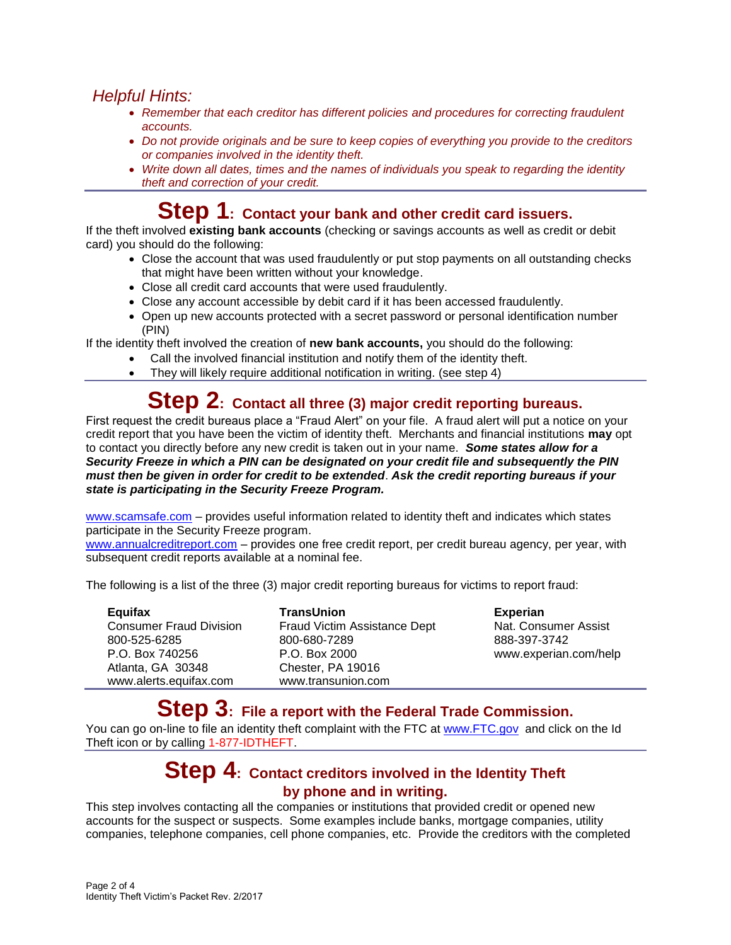### *Helpful Hints:*

- *Remember that each creditor has different policies and procedures for correcting fraudulent accounts.*
- *Do not provide originals and be sure to keep copies of everything you provide to the creditors or companies involved in the identity theft.*
- *Write down all dates, times and the names of individuals you speak to regarding the identity theft and correction of your credit.*

### **Step 1: Contact your bank and other credit card issuers.**

If the theft involved **existing bank accounts** (checking or savings accounts as well as credit or debit card) you should do the following:

- Close the account that was used fraudulently or put stop payments on all outstanding checks that might have been written without your knowledge.
- Close all credit card accounts that were used fraudulently.
- Close any account accessible by debit card if it has been accessed fraudulently.
- Open up new accounts protected with a secret password or personal identification number (PIN)

If the identity theft involved the creation of **new bank accounts,** you should do the following:

- Call the involved financial institution and notify them of the identity theft.
- They will likely require additional notification in writing. (see step 4)

# **Step 2: Contact all three (3) major credit reporting bureaus.**

First request the credit bureaus place a "Fraud Alert" on your file. A fraud alert will put a notice on your credit report that you have been the victim of identity theft. Merchants and financial institutions **may** opt to contact you directly before any new credit is taken out in your name. *Some states allow for a Security Freeze in which a PIN can be designated on your credit file and subsequently the PIN must then be given in order for credit to be extended*. *Ask the credit reporting bureaus if your state is participating in the Security Freeze Program.* 

[www.scamsafe.com](http://www.scamsafe.com/) – provides useful information related to identity theft and indicates which states participate in the Security Freeze program.

[www.annualcreditreport.com](http://www.annualcreditreport.com/) – provides one free credit report, per credit bureau agency, per year, with subsequent credit reports available at a nominal fee.

The following is a list of the three (3) major credit reporting bureaus for victims to report fraud:

| Equifax                        | <b>TransUnion</b>            | <b>Experian</b>       |
|--------------------------------|------------------------------|-----------------------|
| <b>Consumer Fraud Division</b> | Fraud Victim Assistance Dept | Nat. Consumer Assist  |
| 800-525-6285                   | 800-680-7289                 | 888-397-3742          |
| P.O. Box 740256                | P.O. Box 2000                | www.experian.com/help |
| Atlanta, GA 30348              | Chester, PA 19016            |                       |
| www.alerts.equifax.com         | www.transunion.com           |                       |

### **Step 3: File a report with the Federal Trade Commission.**

You can go on-line to file an identity theft complaint with the FTC at [www.FTC.gov](http://www.ftc.gov/) and click on the Id Theft icon or by calling 1-877-IDTHEFT.

### **Step 4: Contact creditors involved in the Identity Theft by phone and in writing.**

This step involves contacting all the companies or institutions that provided credit or opened new accounts for the suspect or suspects. Some examples include banks, mortgage companies, utility companies, telephone companies, cell phone companies, etc. Provide the creditors with the completed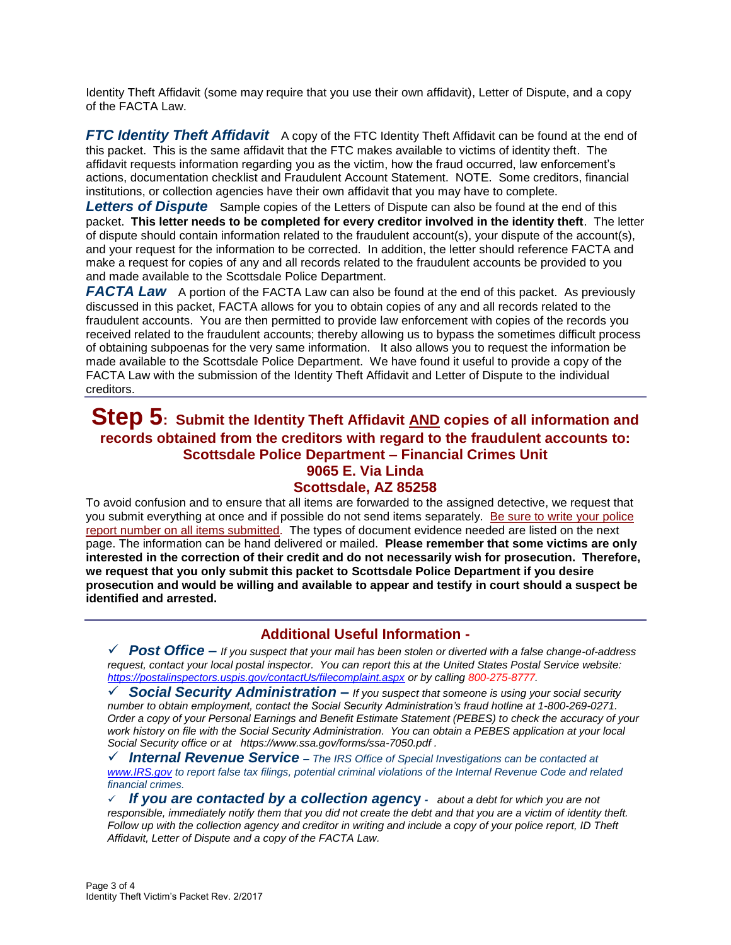Identity Theft Affidavit (some may require that you use their own affidavit), Letter of Dispute, and a copy of the FACTA Law.

**FTC Identity Theft Affidavit** A copy of the FTC Identity Theft Affidavit can be found at the end of this packet. This is the same affidavit that the FTC makes available to victims of identity theft. The affidavit requests information regarding you as the victim, how the fraud occurred, law enforcement's actions, documentation checklist and Fraudulent Account Statement.NOTE. Some creditors, financial institutions, or collection agencies have their own affidavit that you may have to complete.

**Letters of Dispute** Sample copies of the Letters of Dispute can also be found at the end of this packet. **This letter needs to be completed for every creditor involved in the identity theft**. The letter of dispute should contain information related to the fraudulent account(s), your dispute of the account(s), and your request for the information to be corrected. In addition, the letter should reference FACTA and make a request for copies of any and all records related to the fraudulent accounts be provided to you and made available to the Scottsdale Police Department.

**FACTA Law** A portion of the FACTA Law can also be found at the end of this packet. As previously discussed in this packet, FACTA allows for you to obtain copies of any and all records related to the fraudulent accounts. You are then permitted to provide law enforcement with copies of the records you received related to the fraudulent accounts; thereby allowing us to bypass the sometimes difficult process of obtaining subpoenas for the very same information. It also allows you to request the information be made available to the Scottsdale Police Department. We have found it useful to provide a copy of the FACTA Law with the submission of the Identity Theft Affidavit and Letter of Dispute to the individual creditors.

#### **Step 5: Submit the Identity Theft Affidavit AND copies of all information and records obtained from the creditors with regard to the fraudulent accounts to: Scottsdale Police Department – Financial Crimes Unit 9065 E. Via Linda Scottsdale, AZ 85258**

To avoid confusion and to ensure that all items are forwarded to the assigned detective, we request that you submit everything at once and if possible do not send items separately. Be sure to write your police report number on all items submitted. The types of document evidence needed are listed on the next page. The information can be hand delivered or mailed. **Please remember that some victims are only interested in the correction of their credit and do not necessarily wish for prosecution. Therefore, we request that you only submit this packet to Scottsdale Police Department if you desire prosecution and would be willing and available to appear and testify in court should a suspect be identified and arrested.**

#### **Additional Useful Information -**

 *Post Office – If you suspect that your mail has been stolen or diverted with a false change-of-address request, contact your local postal inspector. You can report this at the United States Postal Service website: <https://postalinspectors.uspis.gov/contactUs/filecomplaint.aspx> or by calling 800-275-8777.*

 *Social Security Administration – If you suspect that someone is using your social security number to obtain employment, contact the Social Security Administration's fraud hotline at 1-800-269-0271. Order a copy of your Personal Earnings and Benefit Estimate Statement (PEBES) to check the accuracy of your work history on file with the Social Security Administration. You can obtain a PEBES application at your local Social Security office or at https://www.ssa.gov/forms/ssa-7050.pdf .*

 *Internal Revenue Service – The IRS Office of Special Investigations can be contacted at [www.IRS.gov](http://www.irs.gov/) to report false tax filings, potential criminal violations of the Internal Revenue Code and related financial crimes.*

 *If you are contacted by a collection agenc***y** *- about a debt for which you are not responsible, immediately notify them that you did not create the debt and that you are a victim of identity theft. Follow up with the collection agency and creditor in writing and include a copy of your police report, ID Theft Affidavit, Letter of Dispute and a copy of the FACTA Law.*